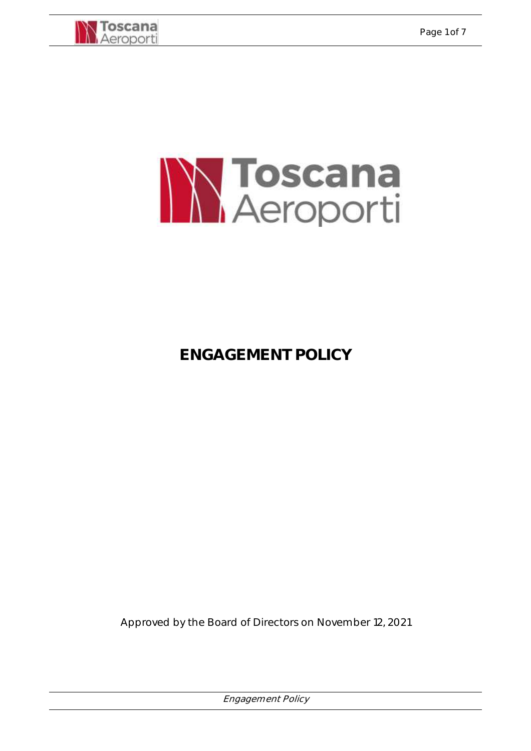



# **ENGAGEMENT POLICY**

Approved by the Board of Directors on November 12, 2021

Engagement Policy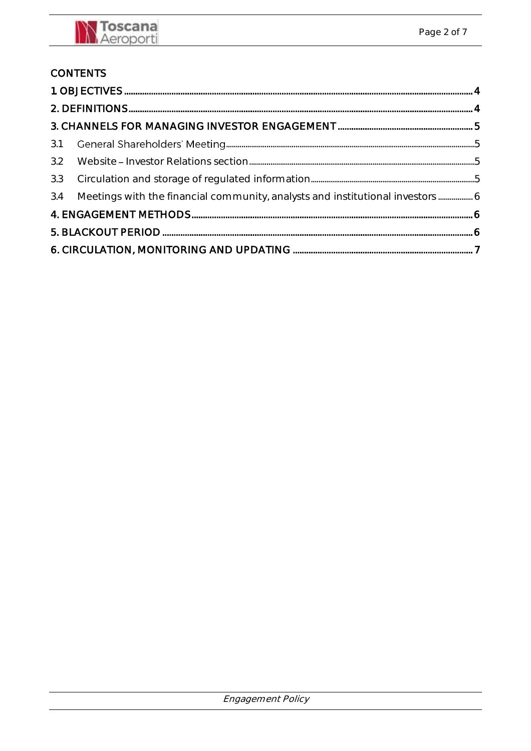## **CONTENTS**

| 3.2 |                                                                               |  |  |  |
|-----|-------------------------------------------------------------------------------|--|--|--|
|     |                                                                               |  |  |  |
| 3.4 | Meetings with the financial community, analysts and institutional investors 6 |  |  |  |
|     |                                                                               |  |  |  |
|     |                                                                               |  |  |  |
|     |                                                                               |  |  |  |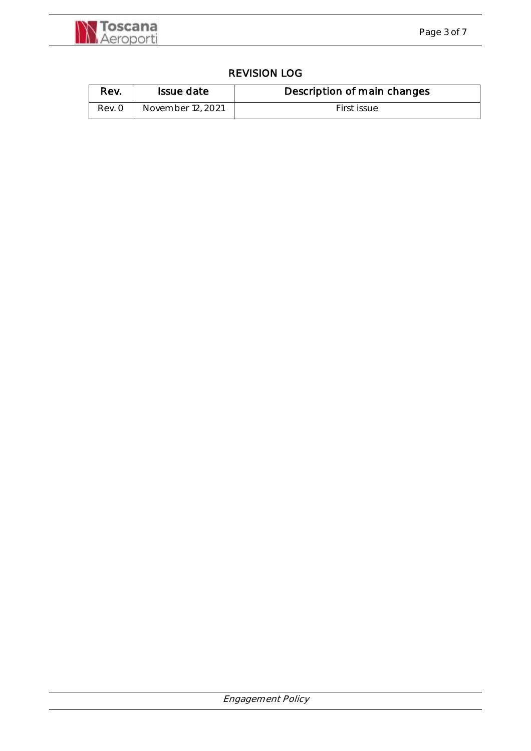

#### REVISION LOG

| Rev.   | Issue date        | Description of main changes |
|--------|-------------------|-----------------------------|
| Rev. O | November 12, 2021 | First issue                 |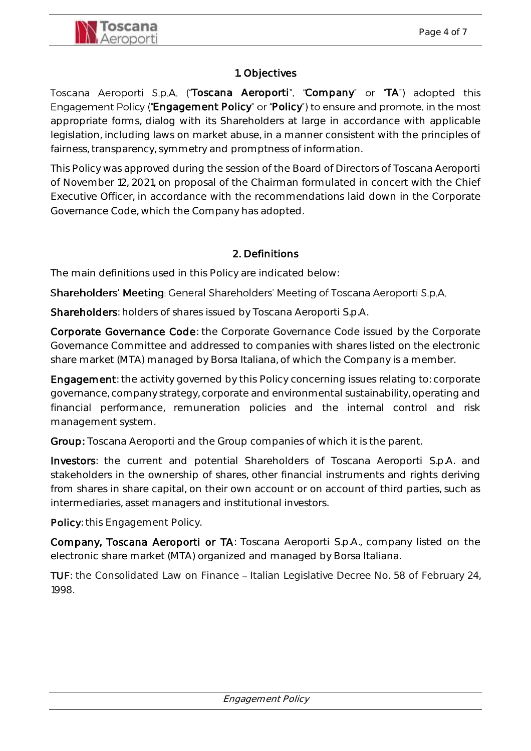

#### 1. Objectives

<span id="page-3-0"></span>Toscana Aeroporti S.p.A. ("Toscana Aeroporti", "Company" or "TA") adopted this Engagement Policy ("Engagement Policy" or "Policy") to ensure and promote, in the most appropriate forms, dialog with its Shareholders at large in accordance with applicable legislation, including laws on market abuse, in a manner consistent with the principles of fairness, transparency, symmetry and promptness of information.

This Policy was approved during the session of the Board of Directors of Toscana Aeroporti of November 12, 2021, on proposal of the Chairman formulated in concert with the Chief Executive Officer, in accordance with the recommendations laid down in the Corporate Governance Code, which the Company has adopted.

#### 2. Definitions

<span id="page-3-1"></span>The main definitions used in this Policy are indicated below:

Shareholders' Meeting: General Shareholders' Meeting of Toscana Aeroporti S.p.A.

Shareholders: holders of shares issued by Toscana Aeroporti S.p.A.

Corporate Governance Code: the Corporate Governance Code issued by the Corporate Governance Committee and addressed to companies with shares listed on the electronic share market (MTA) managed by Borsa Italiana, of which the Company is a member.

Engagement: the activity governed by this Policy concerning issues relating to: corporate governance, company strategy, corporate and environmental sustainability, operating and financial performance, remuneration policies and the internal control and risk management system.

Group: Toscana Aeroporti and the Group companies of which it is the parent.

Investors: the current and potential Shareholders of Toscana Aeroporti S.p.A. and stakeholders in the ownership of shares, other financial instruments and rights deriving from shares in share capital, on their own account or on account of third parties, such as intermediaries, asset managers and institutional investors.

Policy: this Engagement Policy.

Company, Toscana Aeroporti or TA: Toscana Aeroporti S.p.A., company listed on the electronic share market (MTA) organized and managed by Borsa Italiana.

TUF: the Consolidated Law on Finance – Italian Legislative Decree No. 58 of February 24, 1998.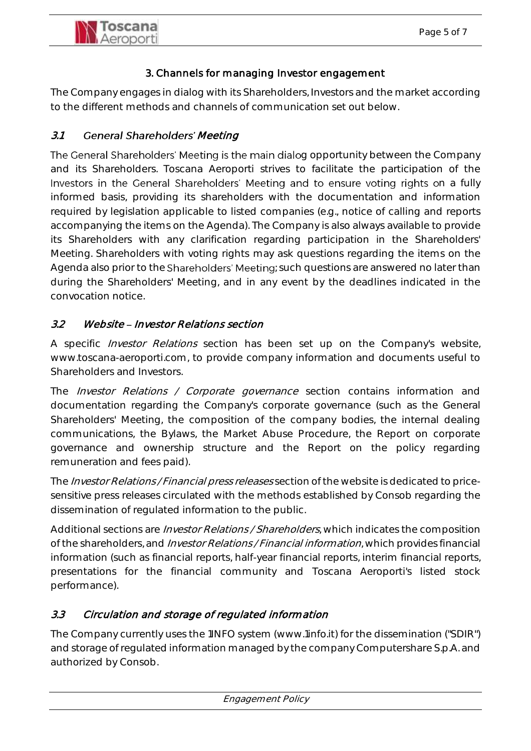

#### 3. Channels for managing Investor engagement

<span id="page-4-0"></span>The Company engages in dialog with its Shareholders, Investors and the market according to the different methods and channels of communication set out below.

#### <span id="page-4-1"></span>3.1 General Shareholders' Meeting

The General Shareholders' Meeting is the main dialog opportunity between the Company and its Shareholders. Toscana Aeroporti strives to facilitate the participation of the Investors in the General Shareholders' Meeting and to ensure voting rights on a fully informed basis, providing its shareholders with the documentation and information required by legislation applicable to listed companies (e.g., notice of calling and reports accompanying the items on the Agenda). The Company is also always available to provide its Shareholders with any clarification regarding participation in the Shareholders' Meeting. Shareholders with voting rights may ask questions regarding the items on the Agenda also prior to the Shareholders' Meeting; such questions are answered no later than during the Shareholders' Meeting, and in any event by the deadlines indicated in the convocation notice.

#### <span id="page-4-2"></span>3.2 Website - Investor Relations section

A specific *Investor Relations* section has been set up on the Company's website, www.toscana-aeroporti.com, to provide company information and documents useful to Shareholders and Investors.

The *Investor Relations / Corporate governance* section contains information and documentation regarding the Company's corporate governance (such as the General Shareholders' Meeting, the composition of the company bodies, the internal dealing communications, the Bylaws, the Market Abuse Procedure, the Report on corporate governance and ownership structure and the Report on the policy regarding remuneration and fees paid).

The Investor Relations / Financial press releases section of the website is dedicated to pricesensitive press releases circulated with the methods established by Consob regarding the dissemination of regulated information to the public.

Additional sections are *Investor Relations / Shareholders*, which indicates the composition of the shareholders, and Investor Relations / Financial information, which provides financial information (such as financial reports, half-year financial reports, interim financial reports, presentations for the financial community and Toscana Aeroporti's listed stock performance).

### <span id="page-4-3"></span>3.3 Circulation and storage of regulated information

The Company currently uses the 1INFO system [\(www.1info.it\)](http://www.1info.it/) for the dissemination ("SDIR") and storage of regulated information managed by the company Computershare S.p.A. and authorized by Consob.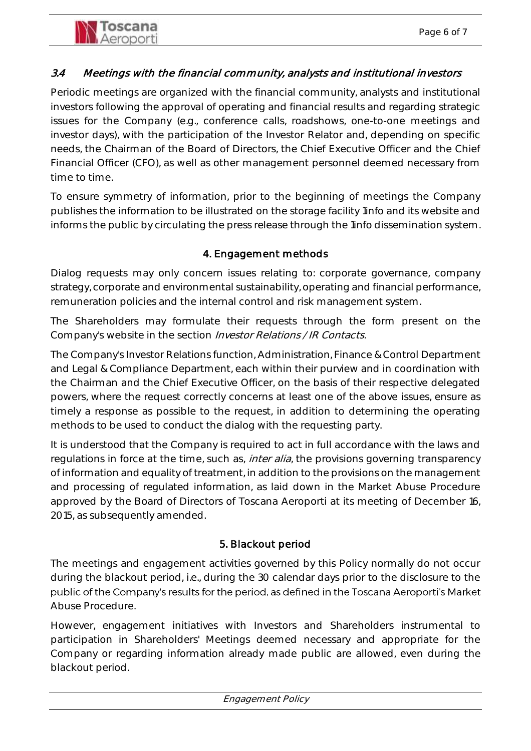## <span id="page-5-0"></span>3.4 Meetings with the financial community, analysts and institutional investors

Periodic meetings are organized with the financial community, analysts and institutional investors following the approval of operating and financial results and regarding strategic issues for the Company (e.g., conference calls, roadshows, one-to-one meetings and investor days), with the participation of the Investor Relator and, depending on specific needs, the Chairman of the Board of Directors, the Chief Executive Officer and the Chief Financial Officer (CFO), as well as other management personnel deemed necessary from time to time.

To ensure symmetry of information, prior to the beginning of meetings the Company publishes the information to be illustrated on the storage facility 1info and its website and informs the public by circulating the press release through the 1info dissemination system.

## 4. Engagement methods

<span id="page-5-1"></span>Dialog requests may only concern issues relating to: corporate governance, company strategy, corporate and environmental sustainability, operating and financial performance, remuneration policies and the internal control and risk management system.

The Shareholders may formulate their requests through the form present on the Company's website in the section Investor Relations / IR Contacts.

The Company's Investor Relations function, Administration, Finance & Control Department and Legal & Compliance Department, each within their purview and in coordination with the Chairman and the Chief Executive Officer, on the basis of their respective delegated powers, where the request correctly concerns at least one of the above issues, ensure as timely a response as possible to the request, in addition to determining the operating methods to be used to conduct the dialog with the requesting party.

It is understood that the Company is required to act in full accordance with the laws and regulations in force at the time, such as, *inter alia*, the provisions governing transparency of information and equality of treatment, in addition to the provisions on the management and processing of regulated information, as laid down in the Market Abuse Procedure approved by the Board of Directors of Toscana Aeroporti at its meeting of December 16, 2015, as subsequently amended.

### 5. Blackout period

<span id="page-5-2"></span>The meetings and engagement activities governed by this Policy normally do not occur during the blackout period, i.e., during the 30 calendar days prior to the disclosure to the public of the Company's results for the period, as defined in the Toscana Aeroporti's Market Abuse Procedure.

However, engagement initiatives with Investors and Shareholders instrumental to participation in Shareholders' Meetings deemed necessary and appropriate for the Company or regarding information already made public are allowed, even during the blackout period.